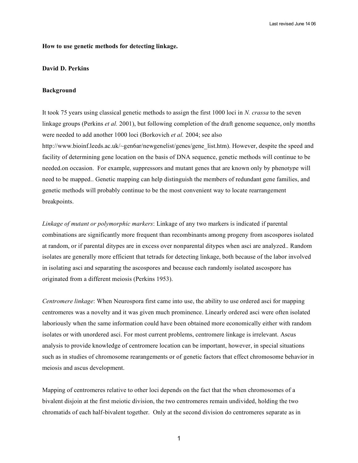### **How to use genetic methods for detecting linkage.**

# **David D. Perkins**

#### **Background**

It took 75 years using classical genetic methods to assign the first 1000 loci in *N. crassa* to the seven linkage groups (Perkins *et al.* 2001), but following completion of the draft genome sequence, only months were needed to add another 1000 loci (Borkovich *et al.* 2004; see also http://www.bioinf.leeds.ac.uk/~gen6ar/newgenelist/genes/gene\_list.htm). However, despite the speed and facility of determining gene location on the basis of DNA sequence, genetic methods will continue to be needed.on occasion. For example, suppressors and mutant genes that are known only by phenotype will need to be mapped.. Genetic mapping can help distinguish the members of redundant gene families, and genetic methods will probably continue to be the most convenient way to locate rearrangement breakpoints.

*Linkage of mutant or polymorphic markers*: Linkage of any two markers is indicated if parental combinations are significantly more frequent than recombinants among progeny from ascospores isolated at random, or if parental ditypes are in excess over nonparental ditypes when asci are analyzed.. Random isolates are generally more efficient that tetrads for detecting linkage, both because of the labor involved in isolating asci and separating the ascospores and because each randomly isolated ascospore has originated from a different meiosis (Perkins 1953).

*Centromere linkage*: When Neurospora first came into use, the ability to use ordered asci for mapping centromeres was a novelty and it was given much prominence. Linearly ordered asci were often isolated laboriously when the same information could have been obtained more economically either with random isolates or with unordered asci. For most current problems, centromere linkage is irrelevant. Ascus analysis to provide knowledge of centromere location can be important, however, in special situations such as in studies of chromosome rearangements or of genetic factors that effect chromosome behavior in meiosis and ascus development.

Mapping of centromeres relative to other loci depends on the fact that the when chromosomes of a bivalent disjoin at the first meiotic division, the two centromeres remain undivided, holding the two chromatids of each half-bivalent together. Only at the second division do centromeres separate as in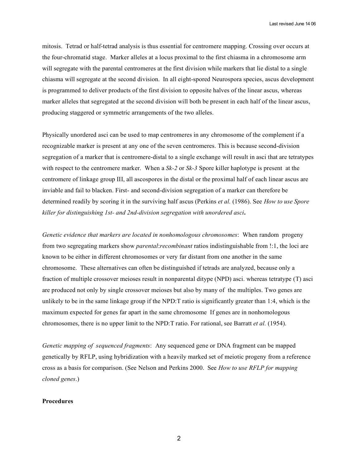Last revised June 14 06

mitosis. Tetrad or half-tetrad analysis is thus essential for centromere mapping. Crossing over occurs at the four-chromatid stage. Marker alleles at a locus proximal to the first chiasma in a chromosome arm will segregate with the parental centromeres at the first division while markers that lie distal to a single chiasma will segregate at the second division. In all eight-spored Neurospora species, ascus development is programmed to deliver products of the first division to opposite halves of the linear ascus, whereas marker alleles that segregated at the second division will both be present in each half of the linear ascus, producing staggered or symmetric arrangements of the two alleles.

Physically unordered asci can be used to map centromeres in any chromosome of the complement if a recognizable marker is present at any one of the seven centromeres. This is because second-division segregation of a marker that is centromere-distal to a single exchange will result in asci that are tetratypes with respect to the centromere marker. When a *Sk-2* or *Sk-3* Spore killer haplotype is present at the centromere of linkage group III, all ascospores in the distal or the proximal half of each linear ascus are inviable and fail to blacken. First- and second-division segregation of a marker can therefore be determined readily by scoring it in the surviving half ascus (Perkins *et al.* (1986). See *How to use Spore killer for distinguishing 1st- and 2nd-division segregation with unordered asci***.**

*Genetic evidence that markers are located in nonhomologous chromosomes*: When random progeny from two segregating markers show *parental*:*recombinant* ratios indistinguishable from !:1, the loci are known to be either in different chromosomes or very far distant from one another in the same chromosome. These alternatives can often be distinguished if tetrads are analyzed, because only a fraction of multiple crossover meioses result in nonparental ditype (NPD) asci. whereas tetratype (T) asci are produced not only by single crossover meioses but also by many of the multiples. Two genes are unlikely to be in the same linkage group if the NPD:T ratio is significantly greater than 1:4, which is the maximum expected for genes far apart in the same chromosome If genes are in nonhomologous chromosomes, there is no upper limit to the NPD:T ratio. For rational, see Barratt *et al.* (1954).

*Genetic mapping of sequenced fragments*: Any sequenced gene or DNA fragment can be mapped genetically by RFLP, using hybridization with a heavily marked set of meiotic progeny from a reference cross as a basis for comparison. (See Nelson and Perkins 2000. See *How to use RFLP for mapping cloned genes*.)

#### **Procedures**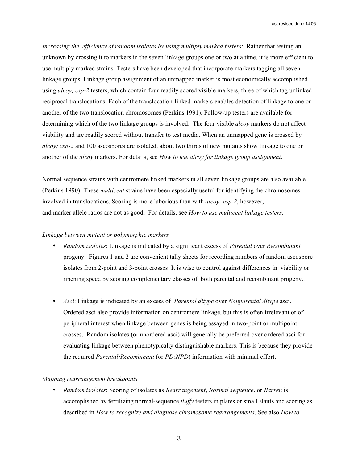*Increasing the efficiency of random isolates by using multiply marked testers*: Rather that testing an unknown by crossing it to markers in the seven linkage groups one or two at a time, it is more efficient to use multiply marked strains. Testers have been developed that incorporate markers tagging all seven linkage groups. Linkage group assignment of an unmapped marker is most economically accomplished using *alcoy; csp-2* testers, which contain four readily scored visible markers, three of which tag unlinked reciprocal translocations. Each of the translocation-linked markers enables detection of linkage to one or another of the two translocation chromosomes (Perkins 1991). Follow-up testers are available for determining which of the two linkage groups is involved. The four visible *alcoy* markers do not affect viability and are readily scored without transfer to test media. When an unmapped gene is crossed by *alcoy; csp-2* and 100 ascospores are isolated, about two thirds of new mutants show linkage to one or another of the *alcoy* markers. For details, see *How to use alcoy for linkage group assignment*.

Normal sequence strains with centromere linked markers in all seven linkage groups are also available (Perkins 1990). These *multicent* strains have been especially useful for identifying the chromosomes involved in translocations. Scoring is more laborious than with *alcoy; csp-2*, however, and marker allele ratios are not as good. For details, see *How to use multicent linkage testers*.

# *Linkage between mutant or polymorphic markers*

- *Random isolates*: Linkage is indicated by a significant excess of *Parental* over *Recombinant* progeny. Figures 1 and 2 are convenient tally sheets for recording numbers of random ascospore isolates from 2-point and 3-point crosses It is wise to control against differences in viability or ripening speed by scoring complementary classes of both parental and recombinant progeny..
- *Asci*: Linkage is indicated by an excess of *Parental ditype* over *Nonparental ditype* asci. Ordered asci also provide information on centromere linkage, but this is often irrelevant or of peripheral interest when linkage between genes is being assayed in two-point or multipoint crosses. Random isolates (or unordered asci) will generally be preferred over ordered asci for evaluating linkage between phenotypically distinguishable markers. This is because they provide the required *Parental:Recombinant* (or *PD:NPD*) information with minimal effort.

# *Mapping rearrangement breakpoints*

• *Random isolates*: Scoring of isolates as *Rearrangement*, *Normal sequence*, or *Barren* is accomplished by fertilizing normal-sequence *fluffy* testers in plates or small slants and scoring as described in *How to recognize and diagnose chromosome rearrangements*. See also *How to*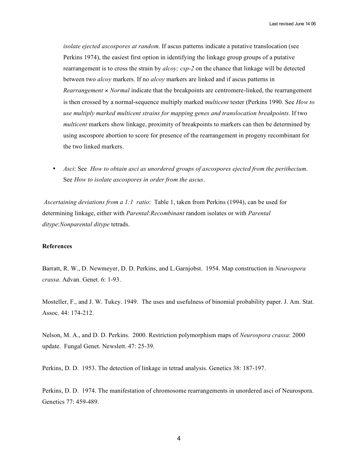Last revised June 14 06

*isolate ejected ascospores at random*. If ascus patterns indicate a putative translocation (see Perkins 1974), the easiest first option in identifying the linkage group groups of a putative rearrangement is to cross the strain by *alcoy; csp-2* on the chance that linkage will be detected between two *alcoy* markers. If no *alcoy* markers are linked and if ascus patterns in *Rearrangement* × *Normal* indicate that the breakpoints are centromere-linked, the rearrangement is then crossed by a normal-sequence multiply marked *multicent* tester (Perkins 1990. See *How to use multiply marked multicent strains for mapping genes and translocation breakpoints.* If two *multicent* markers show linkage, proximity of breakpoints to markers can then be determined by using ascospore abortion to score for presence of the rearrangement in progeny recombinant for the two linked markers.

• *Asci*: See *How to obtain asci as unordered groups of ascospores ejected from the perithecium*. See *How to isolate ascospores in order from the ascus*.

*Ascertaining deviations from a 1:1 ratio*: Table 1, taken from Perkins (1994), can be used for determining linkage, either with *Parental*:*Recombinant* random isolates or with *Parental ditype*:*Nonparental ditype* tetrads.

### **References**

Barratt, R. W., D. Newmeyer, D. D. Perkins, and L.Garnjobst. 1954. Map construction in *Neurospora crassa*. Advan. Genet. 6: 1-93.

Mosteller, F., and J. W. Tukey. 1949. The uses and usefulness of binomial probability paper. J. Am. Stat. Assoc. 44: 174-212.

Nelson, M. A., and D. D. Perkins. 2000. Restriction polymorphism maps of *Neurospora crassa*: 2000 update. Fungal Genet. Newslett. 47: 25-39.

Perkins, D. D. 1953. The detection of linkage in tetrad analysis. Genetics 38: 187-197.

Perkins, D. D. 1974. The manifestation of chromosome rearrangements in unordered asci of Neurospora. Genetics 77: 459-489.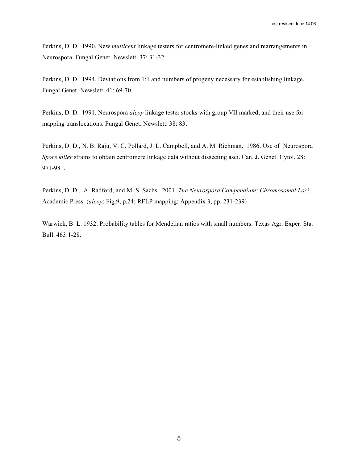Perkins, D. D. 1990. New *multicent* linkage testers for centromere-linked genes and rearrangements in Neurospora. Fungal Genet. Newslett. 37: 31-32.

Perkins, D. D. 1994. Deviations from 1:1 and numbers of progeny necessary for establishing linkage. Fungal Genet. Newslett. 41: 69-70.

Perkins, D. D. 1991. Neurospora *alcoy* linkage tester stocks with group VII marked, and their use for mapping translocations. Fungal Genet. Newslett. 38: 83.

Perkins, D. D., N. B. Raju, V. C. Pollard, J. L. Campbell, and A. M. Richman. 1986. Use of Neurospora *Spore killer* strains to obtain centromere linkage data without dissecting asci. Can. J. Genet. Cytol. 28: 971-981.

Perkins, D. D., A. Radford, and M. S. Sachs. 2001. *The Neurospora Compendium: Chromosomal Loci.* Academic Press. (*alcoy*: Fig.9, p.24; RFLP mapping: Appendix 3, pp. 231-239)

Warwick, B. L. 1932. Probability tables for Mendelian ratios with small numbers. Texas Agr. Exper. Sta. Bull. 463:1-28.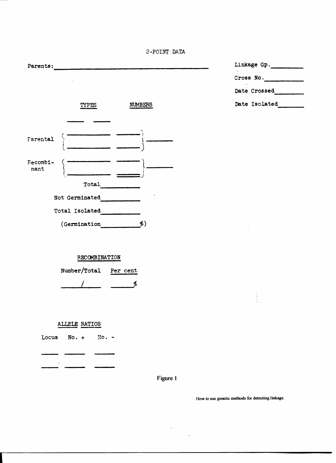2-POINT DATA

| Parents:         |                                                                                                                                                                                                                                                                                                                                                                                                                                |  |  |  |  |  |  |
|------------------|--------------------------------------------------------------------------------------------------------------------------------------------------------------------------------------------------------------------------------------------------------------------------------------------------------------------------------------------------------------------------------------------------------------------------------|--|--|--|--|--|--|
|                  | $\label{eq:2} \frac{d}{dt} \left( \frac{d}{dt} \right) = \frac{1}{2\pi} \sum_{i=1}^n \frac{d}{dt} \left( \frac{d}{dt} \right) \left( \frac{d}{dt} \right) = \frac{1}{2\pi} \sum_{i=1}^n \frac{d}{dt} \left( \frac{d}{dt} \right) \left( \frac{d}{dt} \right) = \frac{1}{2\pi} \sum_{i=1}^n \frac{d}{dt} \left( \frac{d}{dt} \right) = \frac{1}{2\pi} \sum_{i=1}^n \frac{d}{dt} \left( \frac{d}{dt} \right) = \frac{1}{2\pi} \$ |  |  |  |  |  |  |
|                  | <b>NUMBERS</b><br>TYPES                                                                                                                                                                                                                                                                                                                                                                                                        |  |  |  |  |  |  |
|                  |                                                                                                                                                                                                                                                                                                                                                                                                                                |  |  |  |  |  |  |
| Farental         |                                                                                                                                                                                                                                                                                                                                                                                                                                |  |  |  |  |  |  |
| Recombi-<br>nant |                                                                                                                                                                                                                                                                                                                                                                                                                                |  |  |  |  |  |  |
|                  | Total                                                                                                                                                                                                                                                                                                                                                                                                                          |  |  |  |  |  |  |
| Not Germinated   |                                                                                                                                                                                                                                                                                                                                                                                                                                |  |  |  |  |  |  |
|                  | Total Isolated                                                                                                                                                                                                                                                                                                                                                                                                                 |  |  |  |  |  |  |
|                  | \$)<br>(Germination                                                                                                                                                                                                                                                                                                                                                                                                            |  |  |  |  |  |  |

 $\hat{\boldsymbol{\cdot}$ 

| Linkage Gp.<br>v.                            |  |  |  |  |  |  |
|----------------------------------------------|--|--|--|--|--|--|
| Cross No.                                    |  |  |  |  |  |  |
| $\mathbf{v} \sim \mathbf{v}$<br>Date Crossed |  |  |  |  |  |  |
| Date Isolated                                |  |  |  |  |  |  |

 $\overline{\phantom{a}}$ 

 $\hat{\mathcal{A}}$ 

# RECOMBINATION

| Number/Total | Per cent |  |
|--------------|----------|--|
|              |          |  |

# ALLELE RATIOS

Locus  $No. + No. -$ 

 $\bar{\gamma}$ 

 $\overline{\phantom{0}}$ 

 $\overline{\phantom{a}}$ 

Figure 1

 $\mathcal{A}$ 

 $\ddot{\phantom{0}}$ 

 $\hat{\mathcal{A}}$ 

How to use genetic methods for detecting linkage.